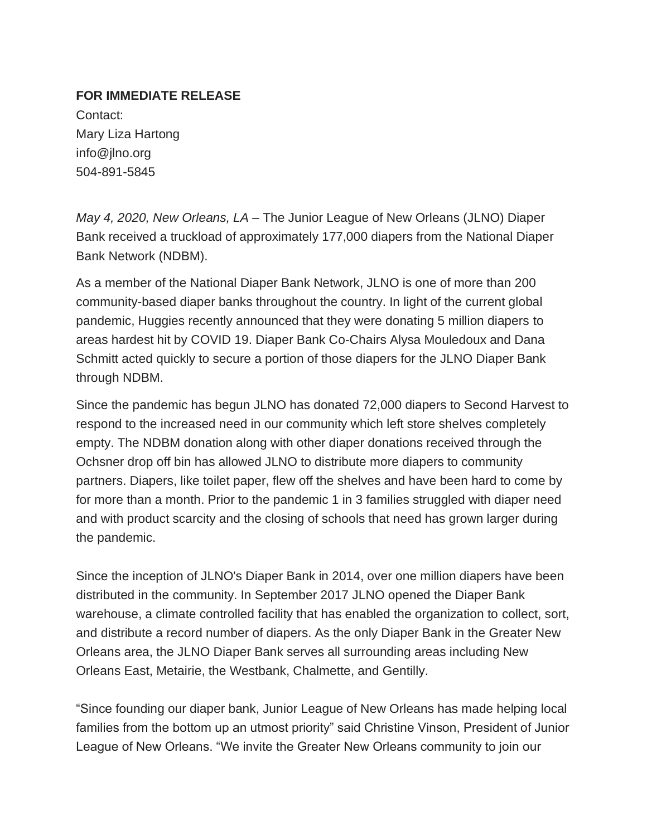## **FOR IMMEDIATE RELEASE**

Contact: Mary Liza Hartong info@jlno.org 504-891-5845

*May 4, 2020, New Orleans, LA* – The Junior League of New Orleans (JLNO) Diaper Bank received a truckload of approximately 177,000 diapers from the National Diaper Bank Network (NDBM).

As a member of the National Diaper Bank Network, JLNO is one of more than 200 community-based diaper banks throughout the country. In light of the current global pandemic, Huggies recently announced that they were donating 5 million diapers to areas hardest hit by COVID 19. Diaper Bank Co-Chairs Alysa Mouledoux and Dana Schmitt acted quickly to secure a portion of those diapers for the JLNO Diaper Bank through NDBM.

Since the pandemic has begun JLNO has donated 72,000 diapers to Second Harvest to respond to the increased need in our community which left store shelves completely empty. The NDBM donation along with other diaper donations received through the Ochsner drop off bin has allowed JLNO to distribute more diapers to community partners. Diapers, like toilet paper, flew off the shelves and have been hard to come by for more than a month. Prior to the pandemic 1 in 3 families struggled with diaper need and with product scarcity and the closing of schools that need has grown larger during the pandemic.

Since the inception of JLNO's Diaper Bank in 2014, over one million diapers have been distributed in the community. In September 2017 JLNO opened the Diaper Bank warehouse, a climate controlled facility that has enabled the organization to collect, sort, and distribute a record number of diapers. As the only Diaper Bank in the Greater New Orleans area, the JLNO Diaper Bank serves all surrounding areas including New Orleans East, Metairie, the Westbank, Chalmette, and Gentilly.

"Since founding our diaper bank, Junior League of New Orleans has made helping local families from the bottom up an utmost priority" said Christine Vinson, President of Junior League of New Orleans. "We invite the Greater New Orleans community to join our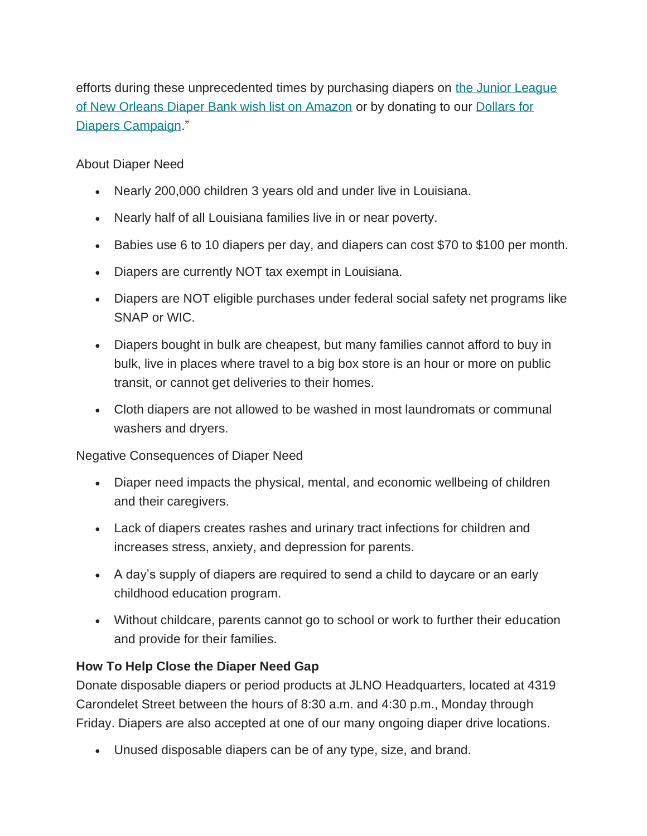efforts during these unprecedented times by purchasing diapers on [the Junior League](https://jlno.us8.list-manage.com/track/click?u=ad17d5cc425a724e12c5cbc03&id=430e8167ec&e=df53e8ca75)  [of New Orleans Diaper Bank wish list on Amazon](https://jlno.us8.list-manage.com/track/click?u=ad17d5cc425a724e12c5cbc03&id=430e8167ec&e=df53e8ca75) or by donating to our [Dollars for](https://jlno.us8.list-manage.com/track/click?u=ad17d5cc425a724e12c5cbc03&id=dd74029e06&e=df53e8ca75)  [Diapers Campaign.](https://jlno.us8.list-manage.com/track/click?u=ad17d5cc425a724e12c5cbc03&id=dd74029e06&e=df53e8ca75)"

About Diaper Need

- Nearly 200,000 children 3 years old and under live in Louisiana.
- Nearly half of all Louisiana families live in or near poverty.
- Babies use 6 to 10 diapers per day, and diapers can cost \$70 to \$100 per month.
- Diapers are currently NOT tax exempt in Louisiana.
- Diapers are NOT eligible purchases under federal social safety net programs like SNAP or WIC.
- Diapers bought in bulk are cheapest, but many families cannot afford to buy in bulk, live in places where travel to a big box store is an hour or more on public transit, or cannot get deliveries to their homes.
- Cloth diapers are not allowed to be washed in most laundromats or communal washers and dryers.

Negative Consequences of Diaper Need

- Diaper need impacts the physical, mental, and economic wellbeing of children and their caregivers.
- Lack of diapers creates rashes and urinary tract infections for children and increases stress, anxiety, and depression for parents.
- A day's supply of diapers are required to send a child to daycare or an early childhood education program.
- Without childcare, parents cannot go to school or work to further their education and provide for their families.

## **How To Help Close the Diaper Need Gap**

Donate disposable diapers or period products at JLNO Headquarters, located at 4319 Carondelet Street between the hours of 8:30 a.m. and 4:30 p.m., Monday through Friday. Diapers are also accepted at one of our many ongoing diaper drive locations.

• Unused disposable diapers can be of any type, size, and brand.